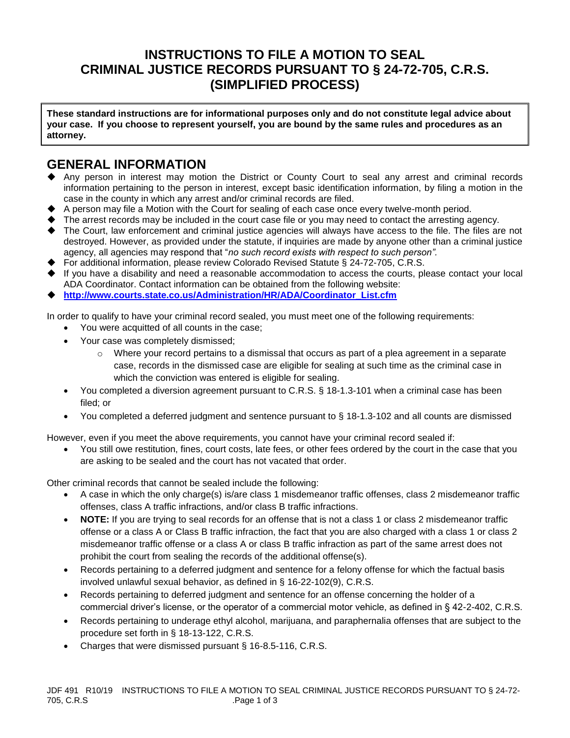# **INSTRUCTIONS TO FILE A MOTION TO SEAL CRIMINAL JUSTICE RECORDS PURSUANT TO § 24-72-705, C.R.S. (SIMPLIFIED PROCESS)**

**These standard instructions are for informational purposes only and do not constitute legal advice about your case. If you choose to represent yourself, you are bound by the same rules and procedures as an attorney.**

## **GENERAL INFORMATION**

- ◆ Any person in interest may motion the District or County Court to seal any arrest and criminal records information pertaining to the person in interest, except basic identification information, by filing a motion in the case in the county in which any arrest and/or criminal records are filed.
- A person may file a Motion with the Court for sealing of each case once every twelve-month period.
- The arrest records may be included in the court case file or you may need to contact the arresting agency.
- ◆ The Court, law enforcement and criminal justice agencies will always have access to the file. The files are not destroyed. However, as provided under the statute, if inquiries are made by anyone other than a criminal justice agency, all agencies may respond that "*no such record exists with respect to such person".*
- For additional information, please review Colorado Revised Statute § 24-72-705, C.R.S.
- If you have a disability and need a reasonable accommodation to access the courts, please contact your local ADA Coordinator. Contact information can be obtained from the following website:
- ◆ **[http://www.courts.state.co.us/Administration/HR/ADA/Coordinator\\_List.cfm](http://www.courts.state.co.us/Administration/HR/ADA/Coordinator_List.cfm)**

In order to qualify to have your criminal record sealed, you must meet one of the following requirements:

- You were acquitted of all counts in the case;
- Your case was completely dismissed;
	- o Where your record pertains to a dismissal that occurs as part of a plea agreement in a separate case, records in the dismissed case are eligible for sealing at such time as the criminal case in which the conviction was entered is eligible for sealing.
- You completed a diversion agreement pursuant to C.R.S. § 18-1.3-101 when a criminal case has been filed; or
- You completed a deferred judgment and sentence pursuant to § 18-1.3-102 and all counts are dismissed

However, even if you meet the above requirements, you cannot have your criminal record sealed if:

• You still owe restitution, fines, court costs, late fees, or other fees ordered by the court in the case that you are asking to be sealed and the court has not vacated that order.

Other criminal records that cannot be sealed include the following:

- A case in which the only charge(s) is/are class 1 misdemeanor traffic offenses, class 2 misdemeanor traffic offenses, class A traffic infractions, and/or class B traffic infractions.
- **NOTE:** If you are trying to seal records for an offense that is not a class 1 or class 2 misdemeanor traffic offense or a class A or Class B traffic infraction, the fact that you are also charged with a class 1 or class 2 misdemeanor traffic offense or a class A or class B traffic infraction as part of the same arrest does not prohibit the court from sealing the records of the additional offense(s).
- Records pertaining to a deferred judgment and sentence for a felony offense for which the factual basis involved unlawful sexual behavior, as defined in § 16-22-102(9), C.R.S.
- Records pertaining to deferred judgment and sentence for an offense concerning the holder of a commercial driver's license, or the operator of a commercial motor vehicle, as defined in § 42-2-402, C.R.S.
- Records pertaining to underage ethyl alcohol, marijuana, and paraphernalia offenses that are subject to the procedure set forth in § 18-13-122, C.R.S.
- Charges that were dismissed pursuant § 16-8.5-116, C.R.S.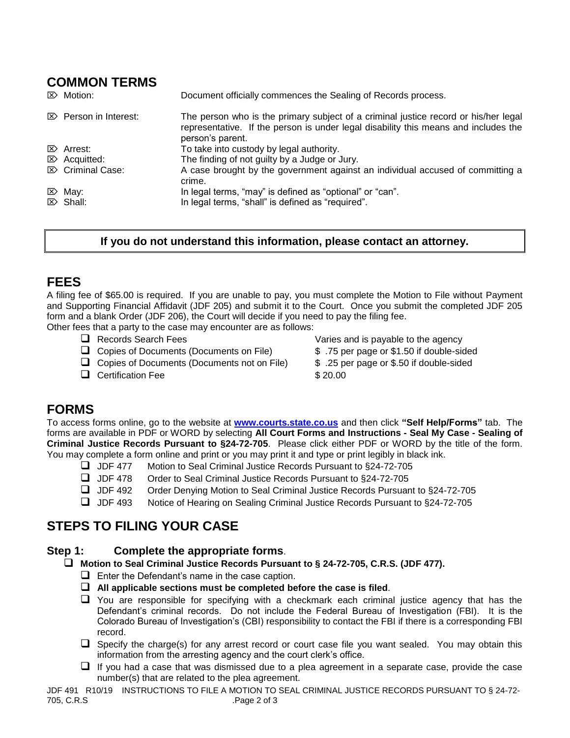# **COMMON TERMS**

| $\mathbb{Z}$ Motion:             | Document officially commences the Sealing of Records process.                                                                                                                                  |
|----------------------------------|------------------------------------------------------------------------------------------------------------------------------------------------------------------------------------------------|
| $\mathbb{Z}$ Person in Interest: | The person who is the primary subject of a criminal justice record or his/her legal<br>representative. If the person is under legal disability this means and includes the<br>person's parent. |
| $\mathbb{Z}$ Arrest:             | To take into custody by legal authority.                                                                                                                                                       |
| $\mathbb{Z}$ Acquitted:          | The finding of not guilty by a Judge or Jury.                                                                                                                                                  |
| $\mathbb{Z}$ Criminal Case:      | A case brought by the government against an individual accused of committing a<br>crime.                                                                                                       |
| $\mathbb{Z}$ May:                | In legal terms, "may" is defined as "optional" or "can".                                                                                                                                       |
| $\triangleright$ Shall:          | In legal terms, "shall" is defined as "required".                                                                                                                                              |

### **If you do not understand this information, please contact an attorney.**

## **FEES**

A filing fee of \$65.00 is required. If you are unable to pay, you must complete the Motion to File without Payment and Supporting Financial Affidavit (JDF 205) and submit it to the Court. Once you submit the completed JDF 205 form and a blank Order (JDF 206), the Court will decide if you need to pay the filing fee.

Other fees that a party to the case may encounter are as follows:

- 
- ❑ Copies of Documents (Documents on File) \$ .75 per page or \$1.50 if double-sided
- ❑ Copies of Documents (Documents not on File) \$ .25 per page or \$.50 if double-sided
- □ Certification Fee \$ 20.00

❑ Records Search Fees Varies and is payable to the agency

- 
- 
- 

## **FORMS**

To access forms online, go to the website at **[www.courts.state.co.us](http://www.courts.state.co.us/)** and then click **"Self Help/Forms"** tab. The forms are available in PDF or WORD by selecting **All Court Forms and Instructions - Seal My Case - Sealing of Criminal Justice Records Pursuant to §24-72-705**. Please click either PDF or WORD by the title of the form. You may complete a form online and print or you may print it and type or print legibly in black ink.

- ❑ JDF 477 Motion to Seal Criminal Justice Records Pursuant to §24-72-705
- ❑ JDF 478 Order to Seal Criminal Justice Records Pursuant to §24-72-705
- ❑ JDF 492 Order Denying Motion to Seal Criminal Justice Records Pursuant to §24-72-705
- ❑ JDF 493 Notice of Hearing on Sealing Criminal Justice Records Pursuant to §24-72-705

# **STEPS TO FILING YOUR CASE**

## **Step 1: Complete the appropriate forms**.

### ❑ **Motion to Seal Criminal Justice Records Pursuant to § 24-72-705, C.R.S. (JDF 477).**

- $\Box$  Enter the Defendant's name in the case caption.
- ❑ **All applicable sections must be completed before the case is filed**.
- ❑ You are responsible for specifying with a checkmark each criminal justice agency that has the Defendant's criminal records. Do not include the Federal Bureau of Investigation (FBI). It is the Colorado Bureau of Investigation's (CBI) responsibility to contact the FBI if there is a corresponding FBI record.
- ❑ Specify the charge(s) for any arrest record or court case file you want sealed. You may obtain this information from the arresting agency and the court clerk's office.
- ❑ If you had a case that was dismissed due to a plea agreement in a separate case, provide the case number(s) that are related to the plea agreement.

JDF 491 R10/19 INSTRUCTIONS TO FILE A MOTION TO SEAL CRIMINAL JUSTICE RECORDS PURSUANT TO § 24-72- 705, C.R.S .Page 2 of 3